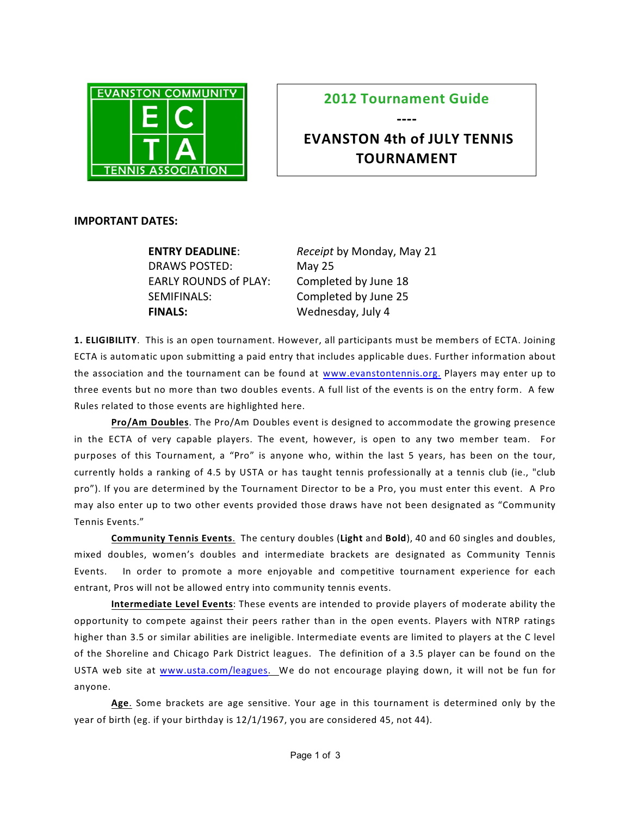

## **2012 Tournament Guide**

**----**

## **EVANSTON 4th of JULY TENNIS TOURNAMENT**

## **IMPORTANT DATES:**

| <b>ENTRY DEADLINE:</b>       | Receipt by Monday, May 21 |
|------------------------------|---------------------------|
| DRAWS POSTED:                | May 25                    |
| <b>EARLY ROUNDS of PLAY:</b> | Completed by June 18      |
| SEMIFINALS:                  | Completed by June 25      |
| <b>FINALS:</b>               | Wednesday, July 4         |

**1. ELIGIBILITY**. This is an open tournament. However, all participants must be members of ECTA. Joining ECTA is automatic upon submitting a paid entry that includes applicable dues. Further information about the association and the tournament can be found at [www.evanstontennis.org.](http://www.evanstontennis.org.) Players may enter up to three events but no more than two doubles events. A full list of the events is on the entry form. A few Rules related to those events are highlighted here.

**Pro/Am Doubles**. The Pro/Am Doubles event is designed to accommodate the growing presence in the ECTA of very capable players. The event, however, is open to any two member team. For purposes of this Tournament, a "Pro" is anyone who, within the last 5 years, has been on the tour, currently holds a ranking of 4.5 by USTA or has taught tennis professionally at a tennis club (ie., "club pro"). If you are determined by the Tournament Director to be a Pro, you must enter this event. A Pro may also enter up to two other events provided those draws have not been designated as "Community Tennis Events."

**Community Tennis Events**. The century doubles (**Light** and **Bold**), 40 and 60 singles and doubles, mixed doubles, women's doubles and intermediate brackets are designated as Community Tennis Events. In order to promote a more enjoyable and competitive tournament experience for each entrant, Pros will not be allowed entry into community tennis events.

**Intermediate Level Events**: These events are intended to provide players of moderate ability the opportunity to compete against their peers rather than in the open events. Players with NTRP ratings higher than 3.5 or similar abilities are ineligible. Intermediate events are limited to players at the C level of the Shoreline and Chicago Park District leagues. The definition of a 3.5 player can be found on the USTA web site at [www.usta.com/leagues](http://www.usta.com/leagues). We do not encourage playing down, it will not be fun for anyone.

**Age**. Some brackets are age sensitive. Your age in this tournament is determined only by the year of birth (eg. if your birthday is 12/1/1967, you are considered 45, not 44).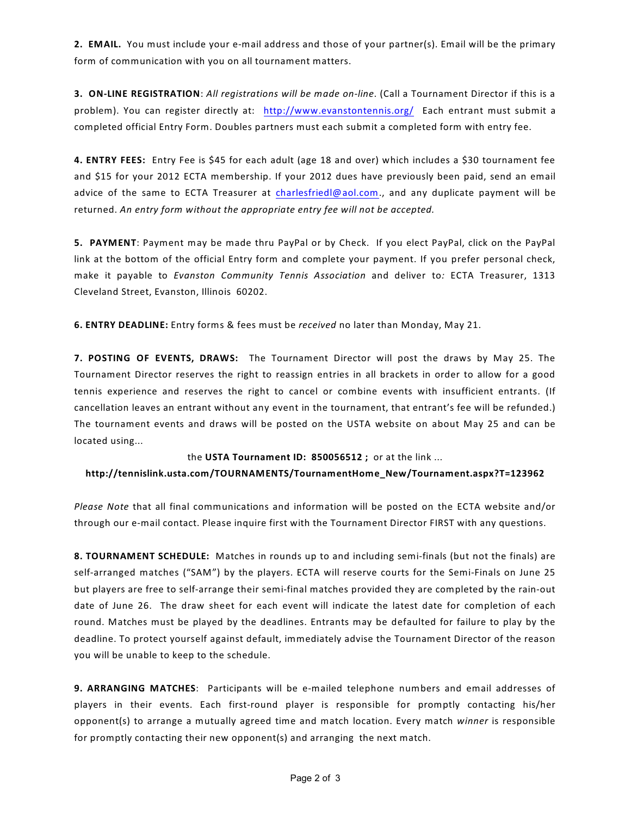**2. EMAIL.** You must include your e-mail address and those of your partner(s). Email will be the primary form of communication with you on all tournament matters.

**3. ON-LINE REGISTRATION**: *All registrations will be made on-line*. (Call a Tournament Director if this is a problem). You can register directly at: <http://www.evanstontennis.org/> Each entrant must submit a completed official Entry Form. Doubles partners must each submit a completed form with entry fee.

**4. ENTRY FEES:** Entry Fee is \$45 for each adult (age 18 and over) which includes a \$30 tournament fee and \$15 for your 2012 ECTA membership. If your 2012 dues have previously been paid, send an email advice of the same to ECTA Treasurer at [charlesfriedl@aol.com](mailto:CharlesFriedly@aol.com)., and any duplicate payment will be returned. *An entry form without the appropriate entry fee will not be accepted.*

**5. PAYMENT**: Payment may be made thru PayPal or by Check. If you elect PayPal, click on the PayPal link at the bottom of the official Entry form and complete your payment. If you prefer personal check, make it payable to *Evanston Community Tennis Association* and deliver to*:* ECTA Treasurer, 1313 Cleveland Street, Evanston, Illinois 60202.

**6. ENTRY DEADLINE:** Entry forms & fees must be *received* no later than Monday, May 21.

**7. POSTING OF EVENTS, DRAWS:** The Tournament Director will post the draws by May 25. The Tournament Director reserves the right to reassign entries in all brackets in order to allow for a good tennis experience and reserves the right to cancel or combine events with insufficient entrants. (If cancellation leaves an entrant without any event in the tournament, that entrant's fee will be refunded.) The tournament events and draws will be posted on the USTA website on about May 25 and can be located using...

the **USTA Tournament ID: 850056512 ;** or at the link ...

**http://tennislink.usta.com/TOURNAMENTS/TournamentHome\_New/Tournament.aspx?T=123962**

*Please Note* that all final communications and information will be posted on the ECTA website and/or through our e-mail contact. Please inquire first with the Tournament Director FIRST with any questions.

**8. TOURNAMENT SCHEDULE:** Matches in rounds up to and including semi-finals (but not the finals) are self-arranged matches ("SAM") by the players. ECTA will reserve courts for the Semi-Finals on June 25 but players are free to self-arrange their semi-final matches provided they are completed by the rain-out date of June 26. The draw sheet for each event will indicate the latest date for completion of each round. Matches must be played by the deadlines. Entrants may be defaulted for failure to play by the deadline. To protect yourself against default, immediately advise the Tournament Director of the reason you will be unable to keep to the schedule.

**9. ARRANGING MATCHES**: Participants will be e-mailed telephone numbers and email addresses of players in their events. Each first-round player is responsible for promptly contacting his/her opponent(s) to arrange a mutually agreed time and match location. Every match *winner* is responsible for promptly contacting their new opponent(s) and arranging the next match.